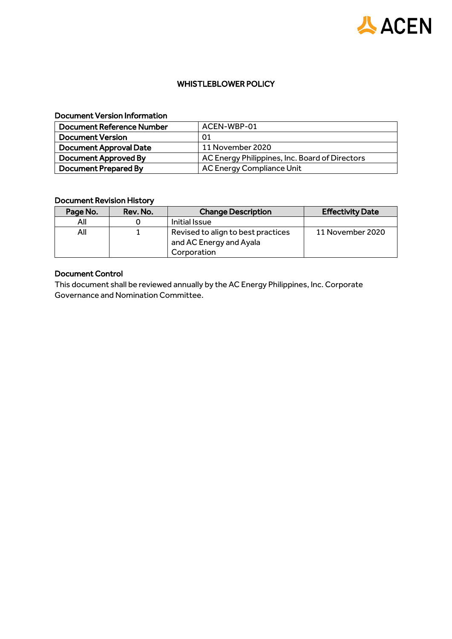

## WHISTLEBLOWER POLICY

#### Document Version Information

| Document Reference Number     | ACEN-WBP-01                                    |
|-------------------------------|------------------------------------------------|
| <b>Document Version</b>       | 01                                             |
| <b>Document Approval Date</b> | 11 November 2020                               |
| Document Approved By          | AC Energy Philippines, Inc. Board of Directors |
| <b>Document Prepared By</b>   | <b>AC Energy Compliance Unit</b>               |

# Document Revision History

| Page No. | Rev. No. | <b>Change Description</b>                                     | <b>Effectivity Date</b> |
|----------|----------|---------------------------------------------------------------|-------------------------|
| All      |          | Initial Issue                                                 |                         |
| All      |          | Revised to align to best practices<br>and AC Energy and Ayala | 11 November 2020        |
|          |          | Corporation                                                   |                         |

# Document Control

This document shall be reviewed annually by the AC Energy Philippines, Inc. Corporate Governance and Nomination Committee.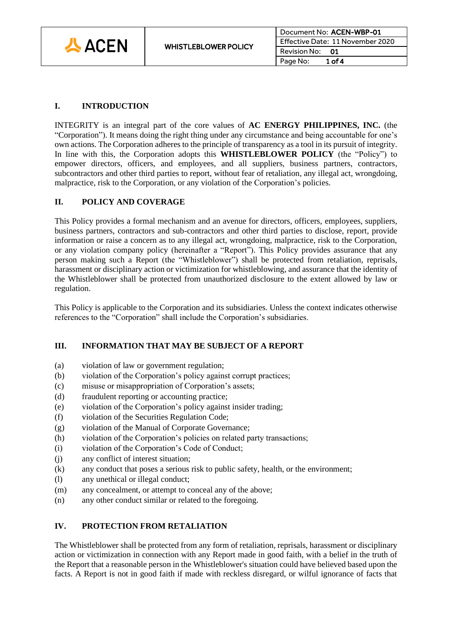

# **I. INTRODUCTION**

INTEGRITY is an integral part of the core values of **AC ENERGY PHILIPPINES, INC.** (the "Corporation"). It means doing the right thing under any circumstance and being accountable for one's own actions. The Corporation adheres to the principle of transparency as a tool in its pursuit of integrity. In line with this, the Corporation adopts this **WHISTLEBLOWER POLICY** (the "Policy") to empower directors, officers, and employees, and all suppliers, business partners, contractors, subcontractors and other third parties to report, without fear of retaliation, any illegal act, wrongdoing, malpractice, risk to the Corporation, or any violation of the Corporation's policies.

### **II. POLICY AND COVERAGE**

This Policy provides a formal mechanism and an avenue for directors, officers, employees, suppliers, business partners, contractors and sub-contractors and other third parties to disclose, report, provide information or raise a concern as to any illegal act, wrongdoing, malpractice, risk to the Corporation, or any violation company policy (hereinafter a "Report"). This Policy provides assurance that any person making such a Report (the "Whistleblower") shall be protected from retaliation, reprisals, harassment or disciplinary action or victimization for whistleblowing, and assurance that the identity of the Whistleblower shall be protected from unauthorized disclosure to the extent allowed by law or regulation.

This Policy is applicable to the Corporation and its subsidiaries. Unless the context indicates otherwise references to the "Corporation" shall include the Corporation's subsidiaries.

#### **III. INFORMATION THAT MAY BE SUBJECT OF A REPORT**

- (a) violation of law or government regulation;
- (b) violation of the Corporation's policy against corrupt practices;
- (c) misuse or misappropriation of Corporation's assets;
- (d) fraudulent reporting or accounting practice;
- (e) violation of the Corporation's policy against insider trading;
- (f) violation of the Securities Regulation Code;
- (g) violation of the Manual of Corporate Governance;
- (h) violation of the Corporation's policies on related party transactions;
- (i) violation of the Corporation's Code of Conduct;
- (j) any conflict of interest situation;
- (k) any conduct that poses a serious risk to public safety, health, or the environment;
- (l) any unethical or illegal conduct;
- (m) any concealment, or attempt to conceal any of the above;
- (n) any other conduct similar or related to the foregoing.

#### **IV. PROTECTION FROM RETALIATION**

The Whistleblower shall be protected from any form of retaliation, reprisals, harassment or disciplinary action or victimization in connection with any Report made in good faith, with a belief in the truth of the Report that a reasonable person in the Whistleblower's situation could have believed based upon the facts. A Report is not in good faith if made with reckless disregard, or wilful ignorance of facts that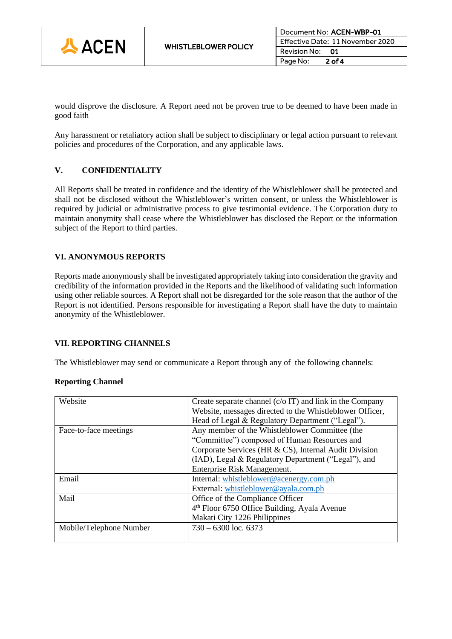

would disprove the disclosure. A Report need not be proven true to be deemed to have been made in good faith

Any harassment or retaliatory action shall be subject to disciplinary or legal action pursuant to relevant policies and procedures of the Corporation, and any applicable laws.

## **V. CONFIDENTIALITY**

All Reports shall be treated in confidence and the identity of the Whistleblower shall be protected and shall not be disclosed without the Whistleblower's written consent, or unless the Whistleblower is required by judicial or administrative process to give testimonial evidence. The Corporation duty to maintain anonymity shall cease where the Whistleblower has disclosed the Report or the information subject of the Report to third parties.

### **VI. ANONYMOUS REPORTS**

Reports made anonymously shall be investigated appropriately taking into consideration the gravity and credibility of the information provided in the Reports and the likelihood of validating such information using other reliable sources. A Report shall not be disregarded for the sole reason that the author of the Report is not identified. Persons responsible for investigating a Report shall have the duty to maintain anonymity of the Whistleblower.

#### **VII. REPORTING CHANNELS**

The Whistleblower may send or communicate a Report through any of the following channels:

#### **Reporting Channel**

| Website                 | Create separate channel $(c/\sigma \Pi)$ and link in the Company |  |
|-------------------------|------------------------------------------------------------------|--|
|                         | Website, messages directed to the Whistleblower Officer,         |  |
|                         | Head of Legal & Regulatory Department ("Legal").                 |  |
| Face-to-face meetings   | Any member of the Whistleblower Committee (the                   |  |
|                         | "Committee") composed of Human Resources and                     |  |
|                         | Corporate Services (HR & CS), Internal Audit Division            |  |
|                         | (IAD), Legal & Regulatory Department ("Legal"), and              |  |
|                         | Enterprise Risk Management.                                      |  |
| Email                   | Internal: whistleblower@acenergy.com.ph                          |  |
|                         | External: whistleblower@ayala.com.ph                             |  |
| Mail                    | Office of the Compliance Officer                                 |  |
|                         | 4 <sup>th</sup> Floor 6750 Office Building, Ayala Avenue         |  |
|                         | Makati City 1226 Philippines                                     |  |
| Mobile/Telephone Number | $730 - 6300$ loc. 6373                                           |  |
|                         |                                                                  |  |